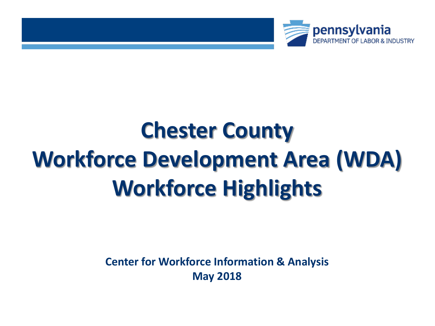

# **Chester County Workforce Development Area (WDA) Workforce Highlights**

**Center for Workforce Information & Analysis May 2018**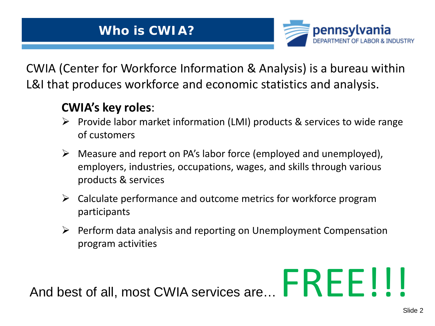

CWIA (Center for Workforce Information & Analysis) is a bureau within L&I that produces workforce and economic statistics and analysis.

### **CWIA's key roles**:

- $\triangleright$  Provide labor market information (LMI) products & services to wide range of customers
- $\triangleright$  Measure and report on PA's labor force (employed and unemployed), employers, industries, occupations, wages, and skills through various products & services
- $\triangleright$  Calculate performance and outcome metrics for workforce program participants
- $\triangleright$  Perform data analysis and reporting on Unemployment Compensation program activities

And best of all, most CWIA services are... FREE!!!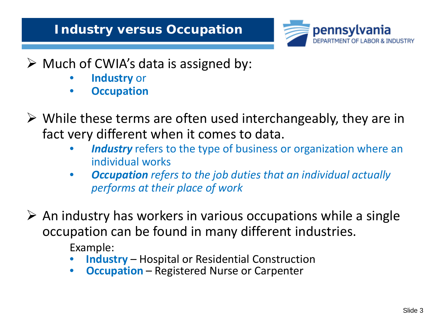### **Industry versus Occupation**



### $\triangleright$  Much of CWIA's data is assigned by:

- **Industry** or
- **Occupation**
- $\triangleright$  While these terms are often used interchangeably, they are in fact very different when it comes to data.
	- **Industry** refers to the type of business or organization where an individual works
	- *Occupation refers to the job duties that an individual actually performs at their place of work*

 $\triangleright$  An industry has workers in various occupations while a single occupation can be found in many different industries.

Example:

- **Industry** Hospital or Residential Construction
- **Occupation** Registered Nurse or Carpenter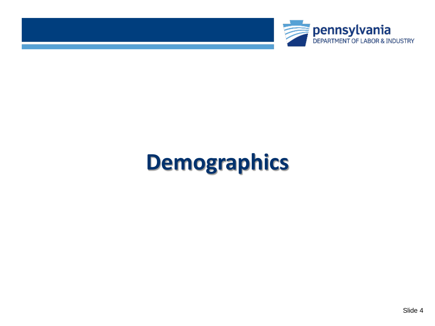



# **Demographics**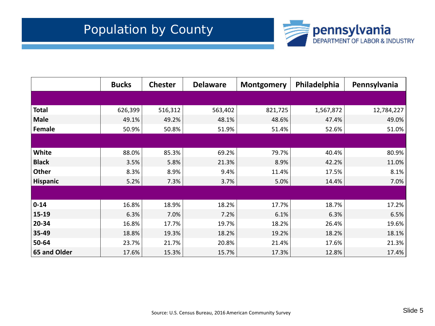

|                 | <b>Bucks</b> | <b>Chester</b> | <b>Delaware</b> | <b>Montgomery</b> | Philadelphia | Pennsylvania |
|-----------------|--------------|----------------|-----------------|-------------------|--------------|--------------|
|                 |              |                |                 |                   |              |              |
| <b>Total</b>    | 626,399      | 516,312        | 563,402         | 821,725           | 1,567,872    | 12,784,227   |
| <b>Male</b>     | 49.1%        | 49.2%          | 48.1%           | 48.6%             | 47.4%        | 49.0%        |
| Female          | 50.9%        | 50.8%          | 51.9%           | 51.4%             | 52.6%        | 51.0%        |
|                 |              |                |                 |                   |              |              |
| White           | 88.0%        | 85.3%          | 69.2%           | 79.7%             | 40.4%        | 80.9%        |
| <b>Black</b>    | 3.5%         | 5.8%           | 21.3%           | 8.9%              | 42.2%        | 11.0%        |
| Other           | 8.3%         | 8.9%           | 9.4%            | 11.4%             | 17.5%        | 8.1%         |
| <b>Hispanic</b> | 5.2%         | 7.3%           | 3.7%            | 5.0%              | 14.4%        | 7.0%         |
|                 |              |                |                 |                   |              |              |
| $0 - 14$        | 16.8%        | 18.9%          | 18.2%           | 17.7%             | 18.7%        | 17.2%        |
| 15-19           | 6.3%         | 7.0%           | 7.2%            | 6.1%              | 6.3%         | 6.5%         |
| 20-34           | 16.8%        | 17.7%          | 19.7%           | 18.2%             | 26.4%        | 19.6%        |
| 35-49           | 18.8%        | 19.3%          | 18.2%           | 19.2%             | 18.2%        | 18.1%        |
| 50-64           | 23.7%        | 21.7%          | 20.8%           | 21.4%             | 17.6%        | 21.3%        |
| 65 and Older    | 17.6%        | 15.3%          | 15.7%           | 17.3%             | 12.8%        | 17.4%        |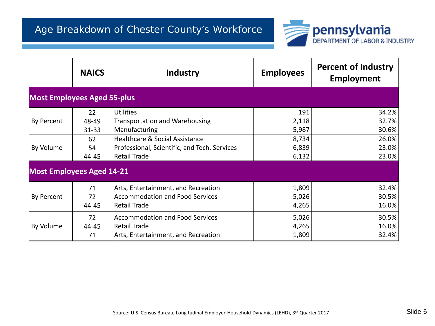

|                                    | <b>NAICS</b> | Industry                                     | <b>Employees</b> | <b>Percent of Industry</b><br><b>Employment</b> |
|------------------------------------|--------------|----------------------------------------------|------------------|-------------------------------------------------|
| <b>Most Employees Aged 55-plus</b> |              |                                              |                  |                                                 |
|                                    | 22           | <b>Utilities</b>                             | 191              | 34.2%                                           |
| By Percent                         | 48-49        | <b>Transportation and Warehousing</b>        | 2,118            | 32.7%                                           |
|                                    | $31 - 33$    | Manufacturing                                | 5,987            | 30.6%                                           |
|                                    | 62           | Healthcare & Social Assistance               | 8,734            | 26.0%                                           |
| By Volume                          | 54           | Professional, Scientific, and Tech. Services | 6,839            | 23.0%                                           |
|                                    | 44-45        | <b>Retail Trade</b>                          | 6,132            | 23.0%                                           |
| <b>Most Employees Aged 14-21</b>   |              |                                              |                  |                                                 |
|                                    | 71           | Arts, Entertainment, and Recreation          | 1,809            | 32.4%                                           |
| By Percent                         | 72           | <b>Accommodation and Food Services</b>       | 5,026            | 30.5%                                           |
|                                    | 44-45        | <b>Retail Trade</b>                          | 4,265            | 16.0%                                           |
|                                    | 72           | <b>Accommodation and Food Services</b>       | 5,026            | 30.5%                                           |
| By Volume                          | 44-45        | <b>Retail Trade</b>                          | 4,265            | 16.0%                                           |
|                                    | 71           | Arts, Entertainment, and Recreation          | 1,809            | 32.4%                                           |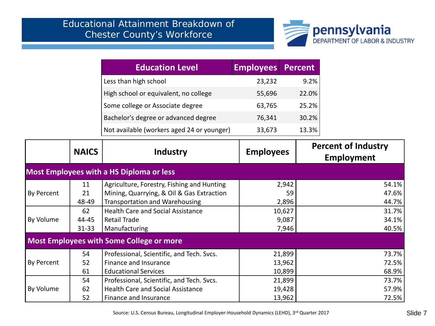

| <b>Education Level</b>                     | <b>Employees Percent</b> |       |
|--------------------------------------------|--------------------------|-------|
| Less than high school                      | 23,232                   | 9.2%  |
| High school or equivalent, no college      | 55,696                   | 22.0% |
| Some college or Associate degree           | 63,765                   | 25.2% |
| Bachelor's degree or advanced degree       | 76,341                   | 30.2% |
| Not available (workers aged 24 or younger) | 33,673                   | 13.3% |

|            | <b>NAICS</b> | <b>Industry</b>                                 | <b>Employees</b> | <b>Percent of Industry</b><br>Employment |
|------------|--------------|-------------------------------------------------|------------------|------------------------------------------|
|            |              | <b>Most Employees with a HS Diploma or less</b> |                  |                                          |
|            | 11           | Agriculture, Forestry, Fishing and Hunting      | 2,942            | 54.1%                                    |
| By Percent | 21           | Mining, Quarrying, & Oil & Gas Extraction       | 59               | 47.6%                                    |
|            | 48-49        | Transportation and Warehousing                  | 2,896            | 44.7%                                    |
|            | 62           | <b>Health Care and Social Assistance</b>        | 10,627           | 31.7%                                    |
| By Volume  | 44-45        | Retail Trade                                    | 9,087            | 34.1%                                    |
|            | $31 - 33$    | Manufacturing                                   | 7,946            | 40.5%                                    |
|            |              | <b>Most Employees with Some College or more</b> |                  |                                          |
|            | 54           | Professional, Scientific, and Tech. Svcs.       | 21,899           | 73.7%                                    |
| By Percent | 52           | Finance and Insurance                           | 13,962           | 72.5%                                    |
|            | 61           | <b>Educational Services</b>                     | 10,899           | 68.9%                                    |
|            | 54           | Professional, Scientific, and Tech. Svcs.       | 21,899           | 73.7%                                    |
| By Volume  | 62           | <b>Health Care and Social Assistance</b>        | 19,428           | 57.9%                                    |
|            | 52           | Finance and Insurance                           | 13,962           | 72.5%                                    |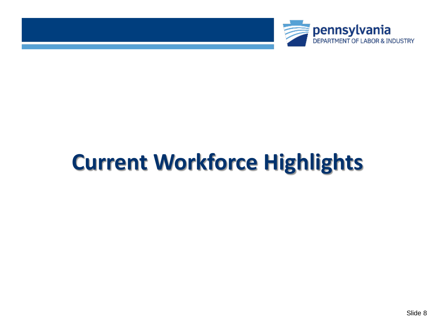



# **Current Workforce Highlights**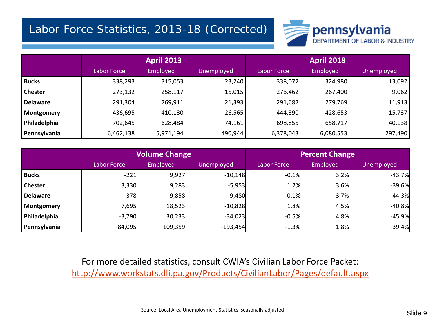#### Labor Force Statistics, 2013-18 (Corrected)



|                 | <b>April 2013</b> |           |                   | <b>April 2018</b> |           |            |  |
|-----------------|-------------------|-----------|-------------------|-------------------|-----------|------------|--|
|                 | Labor Force       | Employed  | <b>Unemployed</b> | Labor Force       | Employed  | Unemployed |  |
| <b>Bucks</b>    | 338,293           | 315,053   | 23,240            | 338,072           | 324,980   | 13,092     |  |
| <b>Chester</b>  | 273,132           | 258,117   | 15,015            | 276,462           | 267,400   | 9,062      |  |
| <b>Delaware</b> | 291,304           | 269,911   | 21,393            | 291,682           | 279,769   | 11,913     |  |
| Montgomery      | 436,695           | 410,130   | 26,565            | 444,390           | 428,653   | 15,737     |  |
| Philadelphia    | 702,645           | 628,484   | 74,161            | 698,855           | 658,717   | 40,138     |  |
| Pennsylvania    | 6,462,138         | 5,971,194 | 490,944           | 6,378,043         | 6,080,553 | 297,490    |  |

|                 | <b>Volume Change</b> |          |                   |             | <b>Percent Change</b> |            |
|-----------------|----------------------|----------|-------------------|-------------|-----------------------|------------|
|                 | Labor Force          | Employed | <b>Unemployed</b> | Labor Force | Employed              | Unemployed |
| <b>Bucks</b>    | $-221$               | 9,927    | $-10,148$         | $-0.1%$     | 3.2%                  | $-43.7%$   |
| <b>Chester</b>  | 3,330                | 9,283    | $-5,953$          | 1.2%        | 3.6%                  | $-39.6%$   |
| <b>Delaware</b> | 378                  | 9,858    | $-9,480$          | 0.1%        | 3.7%                  | $-44.3%$   |
| Montgomery      | 7,695                | 18,523   | $-10,828$         | 1.8%        | 4.5%                  | $-40.8%$   |
| Philadelphia    | $-3,790$             | 30,233   | $-34,023$         | $-0.5%$     | 4.8%                  | $-45.9%$   |
| Pennsylvania    | $-84,095$            | 109,359  | $-193,454$        | $-1.3%$     | 1.8%                  | $-39.4%$   |

For more detailed statistics, consult CWIA's Civilian Labor Force Packet: <http://www.workstats.dli.pa.gov/Products/CivilianLabor/Pages/default.aspx>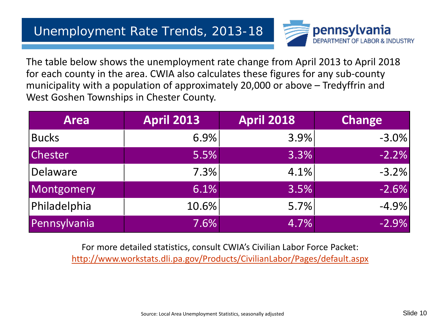

The table below shows the unemployment rate change from April 2013 to April 2018 for each county in the area. CWIA also calculates these figures for any sub-county municipality with a population of approximately 20,000 or above – Tredyffrin and West Goshen Townships in Chester County.

| <b>Area</b>    | <b>April 2013</b> | <b>April 2018</b> | <b>Change</b> |
|----------------|-------------------|-------------------|---------------|
| <b>Bucks</b>   | 6.9%              | 3.9%              | $-3.0\%$      |
| <b>Chester</b> | 5.5%              | 3.3%              | $-2.2%$       |
| Delaware       | 7.3%              | 4.1%              | $-3.2%$       |
| Montgomery     | 6.1%              | 3.5%              | $-2.6%$       |
| Philadelphia   | 10.6%             | 5.7%              | $-4.9%$       |
| Pennsylvania   | 7.6%              | 4.7%              | $-2.9%$       |

For more detailed statistics, consult CWIA's Civilian Labor Force Packet: <http://www.workstats.dli.pa.gov/Products/CivilianLabor/Pages/default.aspx>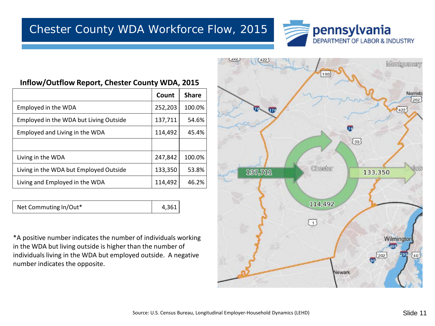

#### **Inflow/Outflow Report, Chester County WDA, 2015**

|                                        | Count   | <b>Share</b> |
|----------------------------------------|---------|--------------|
| Employed in the WDA                    | 252,203 | 100.0%       |
| Employed in the WDA but Living Outside | 137,711 | 54.6%        |
| Employed and Living in the WDA         | 114,492 | 45.4%        |
|                                        |         |              |
| Living in the WDA                      | 247,842 | 100.0%       |
| Living in the WDA but Employed Outside | 133,350 | 53.8%        |
| Living and Employed in the WDA         | 114,492 | 46.2%        |

Net Commuting In/Out\* 1,361

\*A positive number indicates the number of individuals working in the WDA but living outside is higher than the number of individuals living in the WDA but employed outside. A negative number indicates the opposite.

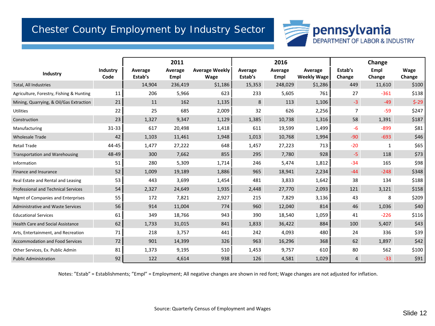#### Chester County Employment by Industry Sector



|                                            |                  |                    | 2011            |                               |                    | 2016            |                               |                   | Change         |                |
|--------------------------------------------|------------------|--------------------|-----------------|-------------------------------|--------------------|-----------------|-------------------------------|-------------------|----------------|----------------|
| Industry                                   | Industry<br>Code | Average<br>Estab's | Average<br>Empl | <b>Average Weekly</b><br>Wage | Average<br>Estab's | Average<br>Empl | Average<br><b>Weekly Wage</b> | Estab's<br>Change | Empl<br>Change | Wage<br>Change |
| Total, All Industries                      |                  | 14,904             | 236,419         | \$1,186                       | 15,353             | 248,029         | \$1,286                       | 449               | 11,610         | \$100          |
| Agriculture, Forestry, Fishing & Hunting   | 11               | 206                | 5,966           | 623                           | 233                | 5,605           | 761                           | 27                | $-361$         | \$138          |
| Mining, Quarrying, & Oil/Gas Extraction    | 21               | 11                 | 162             | 1,135                         | 8                  | 113             | 1,106                         | $-3$              | $-49$          | $$-29$         |
| <b>Utilities</b>                           | 22               | 25                 | 685             | 2,009                         | 32                 | 626             | 2,256                         | 7                 | $-59$          | \$247          |
| Construction                               | 23               | 1,327              | 9,347           | 1,129                         | 1,385              | 10,738          | 1,316                         | 58                | 1,391          | \$187          |
| Manufacturing                              | 31-33            | 617                | 20,498          | 1,418                         | 611                | 19,599          | 1,499                         | -6                | $-899$         | \$81           |
| <b>Wholesale Trade</b>                     | 42               | 1,103              | 11,461          | 1,948                         | 1,013              | 10,768          | 1,994                         | $-90$             | $-693$         | \$46           |
| <b>Retail Trade</b>                        | 44-45            | 1,477              | 27,222          | 648                           | 1,457              | 27,223          | 713                           | $-20$             | 1              | \$65           |
| <b>Transportation and Warehousing</b>      | 48-49            | 300                | 7,662           | 855                           | 295                | 7,780           | 928                           | $-5$              | 118            | \$73           |
| Information                                | 51               | 280                | 5,309           | 1,714                         | 246                | 5,474           | 1,812                         | $-34$             | 165            | \$98           |
| Finance and Insurance                      | 52               | 1,009              | 19,189          | 1,886                         | 965                | 18,941          | 2,234                         | $-44$             | $-248$         | \$348          |
| Real Estate and Rental and Leasing         | 53               | 443                | 3,699           | 1,454                         | 481                | 3,833           | 1,642                         | 38                | 134            | \$188          |
| <b>Professional and Technical Services</b> | 54               | 2,327              | 24,649          | 1,935                         | 2,448              | 27,770          | 2,093                         | 121               | 3,121          | \$158          |
| <b>Mgmt of Companies and Enterprises</b>   | 55               | 172                | 7,821           | 2,927                         | 215                | 7,829           | 3,136                         | 43                | 8              | \$209          |
| Administrative and Waste Services          | 56               | 914                | 11,004          | 774                           | 960                | 12,040          | 814                           | 46                | 1,036          | \$40           |
| <b>Educational Services</b>                | 61               | 349                | 18,766          | 943                           | 390                | 18,540          | 1,059                         | 41                | $-226$         | \$116          |
| <b>Health Care and Social Assistance</b>   | 62               | 1,733              | 31,015          | 841                           | 1,833              | 36,422          | 884                           | 100               | 5,407          | \$43           |
| Arts, Entertainment, and Recreation        | 71               | 218                | 3,757           | 441                           | 242                | 4,093           | 480                           | 24                | 336            | \$39           |
| Accommodation and Food Services            | 72               | 901                | 14,399          | 326                           | 963                | 16,296          | 368                           | 62                | 1,897          | \$42           |
| Other Services, Ex. Public Admin           | 81               | 1,373              | 9,195           | 510                           | 1,453              | 9,757           | 610                           | 80                | 562            | \$100          |
| <b>Public Administration</b>               | 92               | 122                | 4,614           | 938                           | 126                | 4,581           | 1,029                         | 4                 | $-33$          | \$91           |

Notes: "Estab" = Establishments; "Empl" = Employment; All negative changes are shown in red font; Wage changes are not adjusted for inflation.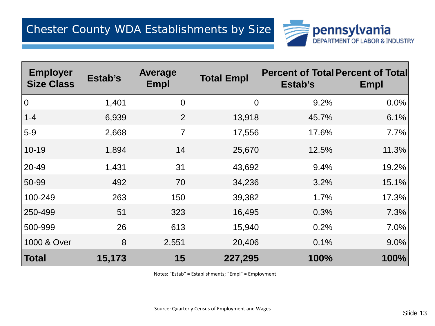

| <b>Employer</b><br><b>Size Class</b> | Estab's | <b>Average</b><br>Empl | <b>Total Empl</b> | <b>Percent of Total Percent of Total</b><br>Estab's | Empl  |
|--------------------------------------|---------|------------------------|-------------------|-----------------------------------------------------|-------|
| 0                                    | 1,401   | $\overline{0}$         | $\overline{0}$    | 9.2%                                                | 0.0%  |
| $1 - 4$                              | 6,939   | 2                      | 13,918            | 45.7%                                               | 6.1%  |
| $5-9$                                | 2,668   | $\overline{7}$         | 17,556            | 17.6%                                               | 7.7%  |
| $10 - 19$                            | 1,894   | 14                     | 25,670            | 12.5%                                               | 11.3% |
| $ 20 - 49 $                          | 1,431   | 31                     | 43,692            | 9.4%                                                | 19.2% |
| $ 50-99$                             | 492     | 70                     | 34,236            | 3.2%                                                | 15.1% |
| 100-249                              | 263     | 150                    | 39,382            | 1.7%                                                | 17.3% |
| 250-499                              | 51      | 323                    | 16,495            | 0.3%                                                | 7.3%  |
| 500-999                              | 26      | 613                    | 15,940            | 0.2%                                                | 7.0%  |
| 1000 & Over                          | 8       | 2,551                  | 20,406            | 0.1%                                                | 9.0%  |
| Total                                | 15,173  | 15                     | 227,295           | 100%                                                | 100%  |

Notes: "Estab" = Establishments; "Empl" = Employment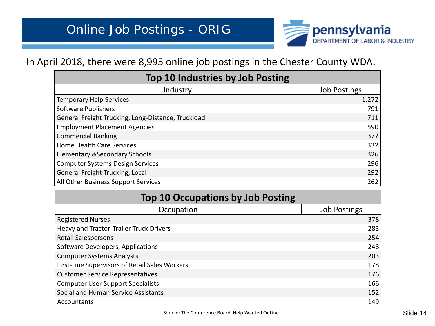

#### In April 2018, there were 8,995 online job postings in the Chester County WDA.

| Top 10 Industries by Job Posting                   |                     |  |  |  |
|----------------------------------------------------|---------------------|--|--|--|
| Industry                                           | <b>Job Postings</b> |  |  |  |
| <b>Temporary Help Services</b>                     | 1,272               |  |  |  |
| <b>Software Publishers</b>                         | 791                 |  |  |  |
| General Freight Trucking, Long-Distance, Truckload | 711                 |  |  |  |
| <b>Employment Placement Agencies</b>               | 590                 |  |  |  |
| <b>Commercial Banking</b>                          | 377                 |  |  |  |
| <b>Home Health Care Services</b>                   | 332                 |  |  |  |
| <b>Elementary &amp; Secondary Schools</b>          | 326                 |  |  |  |
| <b>Computer Systems Design Services</b>            | 296                 |  |  |  |
| General Freight Trucking, Local                    | 292                 |  |  |  |
| All Other Business Support Services                | 262                 |  |  |  |

| <b>Top 10 Occupations by Job Posting</b>       |                     |  |  |  |
|------------------------------------------------|---------------------|--|--|--|
| Occupation                                     | <b>Job Postings</b> |  |  |  |
| <b>Registered Nurses</b>                       | 378                 |  |  |  |
| Heavy and Tractor-Trailer Truck Drivers        | 283                 |  |  |  |
| <b>Retail Salespersons</b>                     | 254                 |  |  |  |
| Software Developers, Applications              | 248                 |  |  |  |
| <b>Computer Systems Analysts</b>               | 203                 |  |  |  |
| First-Line Supervisors of Retail Sales Workers | 178                 |  |  |  |
| <b>Customer Service Representatives</b>        | 176                 |  |  |  |
| <b>Computer User Support Specialists</b>       | 166                 |  |  |  |
| Social and Human Service Assistants            | 152                 |  |  |  |
| Accountants                                    | 149                 |  |  |  |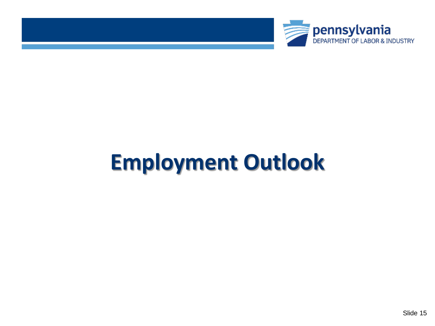



# **Employment Outlook**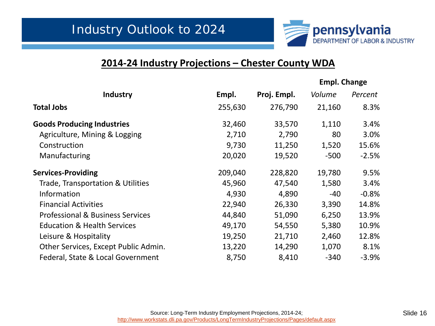

#### **2014-24 Industry Projections – Chester County WDA**

|                                             |         |             | <b>Empl. Change</b> |         |  |
|---------------------------------------------|---------|-------------|---------------------|---------|--|
| Industry                                    | Empl.   | Proj. Empl. | Volume              | Percent |  |
| <b>Total Jobs</b>                           | 255,630 | 276,790     | 21,160              | 8.3%    |  |
| <b>Goods Producing Industries</b>           | 32,460  | 33,570      | 1,110               | 3.4%    |  |
| Agriculture, Mining & Logging               | 2,710   | 2,790       | 80                  | 3.0%    |  |
| Construction                                | 9,730   | 11,250      | 1,520               | 15.6%   |  |
| Manufacturing                               | 20,020  | 19,520      | $-500$              | $-2.5%$ |  |
| <b>Services-Providing</b>                   | 209,040 | 228,820     | 19,780              | 9.5%    |  |
| Trade, Transportation & Utilities           | 45,960  | 47,540      | 1,580               | 3.4%    |  |
| Information                                 | 4,930   | 4,890       | $-40$               | $-0.8%$ |  |
| <b>Financial Activities</b>                 | 22,940  | 26,330      | 3,390               | 14.8%   |  |
| <b>Professional &amp; Business Services</b> | 44,840  | 51,090      | 6,250               | 13.9%   |  |
| <b>Education &amp; Health Services</b>      | 49,170  | 54,550      | 5,380               | 10.9%   |  |
| Leisure & Hospitality                       | 19,250  | 21,710      | 2,460               | 12.8%   |  |
| Other Services, Except Public Admin.        | 13,220  | 14,290      | 1,070               | 8.1%    |  |
| Federal, State & Local Government           | 8,750   | 8,410       | $-340$              | $-3.9%$ |  |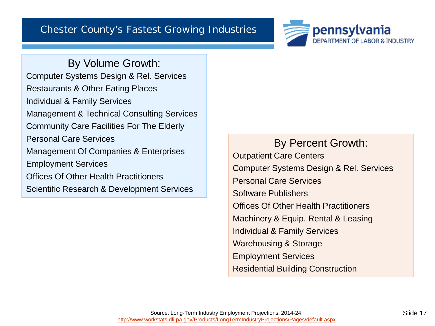

By Volume Growth: Computer Systems Design & Rel. Services Restaurants & Other Eating Places Individual & Family Services Management & Technical Consulting Services Community Care Facilities For The Elderly Personal Care Services Management Of Companies & Enterprises Employment Services Offices Of Other Health Practitioners Scientific Research & Development Services

By Percent Growth: Outpatient Care Centers Computer Systems Design & Rel. Services Personal Care Services Software Publishers Offices Of Other Health Practitioners Machinery & Equip. Rental & Leasing Individual & Family Services Warehousing & Storage Employment Services Residential Building Construction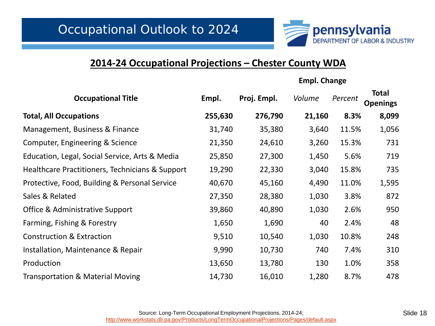

#### **2014-24 Occupational Projections – Chester County WDA**

**Empl. Change**

| <b>Occupational Title</b>                       | Empl.   | Proj. Empl. | Volume | Percent | <b>Total</b><br><b>Openings</b> |  |
|-------------------------------------------------|---------|-------------|--------|---------|---------------------------------|--|
| <b>Total, All Occupations</b>                   | 255,630 | 276,790     | 21,160 | 8.3%    | 8,099                           |  |
| Management, Business & Finance                  | 31,740  | 35,380      | 3,640  | 11.5%   | 1,056                           |  |
| Computer, Engineering & Science                 | 21,350  | 24,610      | 3,260  | 15.3%   | 731                             |  |
| Education, Legal, Social Service, Arts & Media  | 25,850  | 27,300      | 1,450  | 5.6%    | 719                             |  |
| Healthcare Practitioners, Technicians & Support | 19,290  | 22,330      | 3,040  | 15.8%   | 735                             |  |
| Protective, Food, Building & Personal Service   | 40,670  | 45,160      | 4,490  | 11.0%   | 1,595                           |  |
| Sales & Related                                 | 27,350  | 28,380      | 1,030  | 3.8%    | 872                             |  |
| <b>Office &amp; Administrative Support</b>      | 39,860  | 40,890      | 1,030  | 2.6%    | 950                             |  |
| Farming, Fishing & Forestry                     | 1,650   | 1,690       | 40     | 2.4%    | 48                              |  |
| <b>Construction &amp; Extraction</b>            | 9,510   | 10,540      | 1,030  | 10.8%   | 248                             |  |
| Installation, Maintenance & Repair              | 9,990   | 10,730      | 740    | 7.4%    | 310                             |  |
| Production                                      | 13,650  | 13,780      | 130    | 1.0%    | 358                             |  |
| <b>Transportation &amp; Material Moving</b>     | 14,730  | 16,010      | 1,280  | 8.7%    | 478                             |  |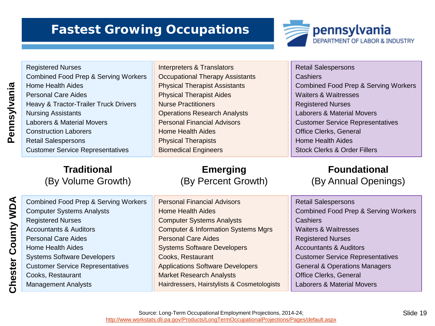### **Fastest Growing Occupations**



Registered Nurses Combined Food Prep & Serving Workers Home Health Aides Personal Care Aides Heavy & Tractor-Trailer Truck Drivers Nursing Assistants Laborers & Material Movers Construction Laborers Retail Salespersons Customer Service Representatives Interpreters & Translators Occupational Therapy Assistants Physical Therapist Assistants Physical Therapist Aides Nurse Practitioners Operations Research Analysts Personal Financial Advisors Home Health Aides Physical Therapists Biomedical Engineers Retail Salespersons **Cashiers** Registered Nurses Home Health Aides

#### **Traditional** (By Volume Growth)

**Emerging** (By Percent Growth) Combined Food Prep & Serving Workers Waiters & Waitresses Laborers & Material Movers Customer Service Representatives Office Clerks, General Stock Clerks & Order Fillers

#### **Foundational** (By Annual Openings)

| <b>Combined Food Prep &amp; Serving Workers</b> | <b>Personal Financial Advisors</b>             | <b>Retail Salespersons</b>                      |
|-------------------------------------------------|------------------------------------------------|-------------------------------------------------|
| <b>Computer Systems Analysts</b>                | <b>Home Health Aides</b>                       | <b>Combined Food Prep &amp; Serving Workers</b> |
| <b>Registered Nurses</b>                        | <b>Computer Systems Analysts</b>               | <b>Cashiers</b>                                 |
| <b>Accountants &amp; Auditors</b>               | <b>Computer &amp; Information Systems Mgrs</b> | <b>Waiters &amp; Waitresses</b>                 |
| <b>Personal Care Aides</b>                      | <b>Personal Care Aides</b>                     | <b>Registered Nurses</b>                        |
| Home Health Aides                               | <b>Systems Software Developers</b>             | <b>Accountants &amp; Auditors</b>               |
| <b>Systems Software Developers</b>              | Cooks, Restaurant                              | <b>Customer Service Representatives</b>         |
| <b>Customer Service Representatives</b>         | <b>Applications Software Developers</b>        | <b>General &amp; Operations Managers</b>        |
| Cooks, Restaurant                               | <b>Market Research Analysts</b>                | <b>Office Clerks, General</b>                   |
| <b>Management Analysts</b>                      | Hairdressers, Hairstylists & Cosmetologists    | <b>Laborers &amp; Material Movers</b>           |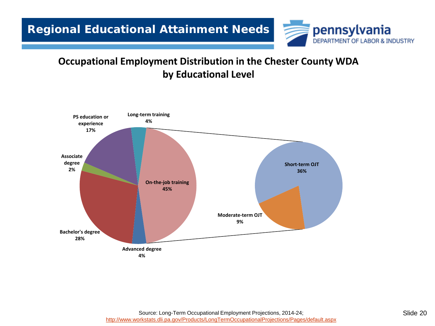

#### **Occupational Employment Distribution in the Chester County WDA by Educational Level**

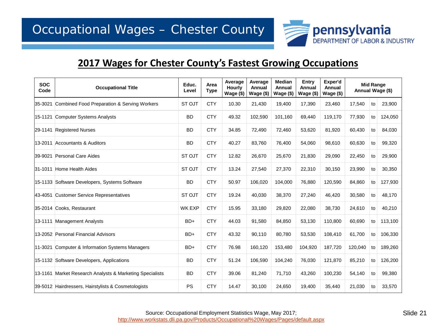

#### **2017 Wages for Chester County's Fastest Growing Occupations**

| <b>SOC</b><br>Code | <b>Occupational Title</b>                                | Educ.<br>Level | Area<br><b>Type</b> | Average<br><b>Hourly</b><br>Wage (\$) | Average<br>Annual<br>Wage (\$) | <b>Median</b><br>Annual<br>Wage (\$) | Entry<br>Annual<br>Wage (\$) | Exper'd<br>Annual<br>Wage (\$) | <b>Mid Range</b><br>Annual Wage (\$) |    |         |
|--------------------|----------------------------------------------------------|----------------|---------------------|---------------------------------------|--------------------------------|--------------------------------------|------------------------------|--------------------------------|--------------------------------------|----|---------|
|                    | 35-3021 Combined Food Preparation & Serving Workers      | ST OJT         | <b>CTY</b>          | 10.30                                 | 21,430                         | 19,400                               | 17,390                       | 23,460                         | 17,540                               | to | 23,900  |
|                    | 15-1121 Computer Systems Analysts                        | <b>BD</b>      | <b>CTY</b>          | 49.32                                 | 102,590                        | 101,160                              | 69,440                       | 119,170                        | 77,930                               | to | 124,050 |
| 29-1141            | <b>Registered Nurses</b>                                 | <b>BD</b>      | <b>CTY</b>          | 34.85                                 | 72,490                         | 72,460                               | 53,620                       | 81,920                         | 60,430                               | to | 84,030  |
|                    | 13-2011 Accountants & Auditors                           | <b>BD</b>      | <b>CTY</b>          | 40.27                                 | 83,760                         | 76,400                               | 54,060                       | 98,610                         | 60,630                               | to | 99,320  |
|                    | 39-9021 Personal Care Aides                              | ST OJT         | <b>CTY</b>          | 12.82                                 | 26,670                         | 25,670                               | 21,830                       | 29,090                         | 22,450                               | to | 29,900  |
| 31-1011            | Home Health Aides                                        | ST OJT         | <b>CTY</b>          | 13.24                                 | 27,540                         | 27,370                               | 22,310                       | 30,150                         | 23,990                               | to | 30,350  |
|                    | 15-1133 Software Developers, Systems Software            | <b>BD</b>      | <b>CTY</b>          | 50.97                                 | 106,020                        | 104,000                              | 76,880                       | 120,590                        | 84,860                               | to | 127,930 |
|                    | 43-4051 Customer Service Representatives                 | ST OJT         | <b>CTY</b>          | 19.24                                 | 40,030                         | 38,370                               | 27,240                       | 46,420                         | 30,580                               | to | 48,170  |
|                    | 35-2014 Cooks, Restaurant                                | <b>WK EXP</b>  | <b>CTY</b>          | 15.95                                 | 33,180                         | 29,820                               | 22,080                       | 38,730                         | 24,610                               | to | 40,210  |
|                    | 13-1111 Management Analysts                              | $BD+$          | <b>CTY</b>          | 44.03                                 | 91,580                         | 84,850                               | 53,130                       | 110,800                        | 60,690                               | to | 113,100 |
|                    | 13-2052 Personal Financial Advisors                      | $BD+$          | <b>CTY</b>          | 43.32                                 | 90,110                         | 80,780                               | 53,530                       | 108,410                        | 61,700                               | to | 106,330 |
|                    | 11-3021 Computer & Information Systems Managers          | $BD+$          | <b>CTY</b>          | 76.98                                 | 160,120                        | 153,480                              | 104,920                      | 187,720                        | 120,040                              | to | 189,260 |
|                    | 15-1132 Software Developers, Applications                | <b>BD</b>      | <b>CTY</b>          | 51.24                                 | 106,590                        | 104,240                              | 76,030                       | 121,870                        | 85,210                               | to | 126,200 |
|                    | 13-1161 Market Research Analysts & Marketing Specialists | <b>BD</b>      | <b>CTY</b>          | 39.06                                 | 81,240                         | 71,710                               | 43,260                       | 100,230                        | 54,140                               | to | 99,380  |
|                    | 39-5012 Hairdressers, Hairstylists & Cosmetologists      | <b>PS</b>      | <b>CTY</b>          | 14.47                                 | 30,100                         | 24,650                               | 19,400                       | 35,440                         | 21,030                               | to | 33,570  |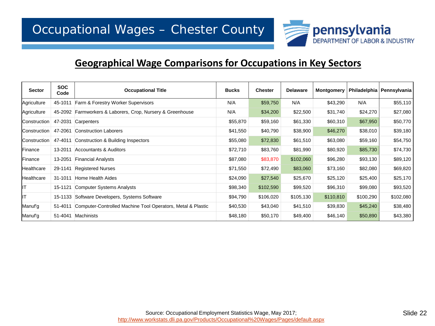![](_page_21_Picture_1.jpeg)

#### **Geographical Wage Comparisons for Occupations in Key Sectors**

| <b>Sector</b>       | <b>SOC</b><br>Code | <b>Occupational Title</b>                                   | <b>Bucks</b> | <b>Chester</b> | <b>Delaware</b> | <b>Montgomery</b> |           | Philadelphia   Pennsylvania |
|---------------------|--------------------|-------------------------------------------------------------|--------------|----------------|-----------------|-------------------|-----------|-----------------------------|
| Agriculture         | 45-1011            | Farm & Forestry Worker Supervisors                          | N/A          | \$59,750       | N/A             | \$43,290          | N/A       | \$55,110                    |
| Agriculture         |                    | 45-2092 Farmworkers & Laborers, Crop, Nursery & Greenhouse  | N/A          | \$34,200       | \$22,500        | \$31,740          | \$24,270  | \$27,080                    |
| <b>Construction</b> |                    | 47-2031 Carpenters                                          | \$55,870     | \$59,160       | \$61,330        | \$60,310          | \$67,950  | \$50,770                    |
| Construction        | 47-2061            | Construction Laborers                                       | \$41,550     | \$40,790       | \$38,900        | \$46,270          | \$38,010  | \$39,180                    |
| Construction        | 47-4011            | Construction & Building Inspectors                          | \$55,080     | \$72,830       | \$61,510        | \$63,080          | \$59,160  | \$54,750                    |
| Finance             | 13-2011            | Accountants & Auditors                                      | \$72,710     | \$83,760       | \$81,990        | \$80,920          | \$85,730  | \$74,730                    |
| Finance             | 13-2051            | <b>Financial Analysts</b>                                   | \$87,080     | \$83,870       | \$102,060       | \$96,280          | \$93,130  | \$89,120                    |
| Healthcare          | 29-1141            | <b>Registered Nurses</b>                                    | \$71,550     | \$72,490       | \$83,060        | \$73,160          | \$82,080  | \$69,820                    |
| Healthcare          | 31-1011            | Home Health Aides                                           | \$24,090     | \$27,540       | \$25,670        | \$25,120          | \$25,400  | \$25,170                    |
| lıт                 | 15-1121            | <b>Computer Systems Analysts</b>                            | \$98,340     | \$102,590      | \$99,520        | \$96,310          | \$99,080  | \$93,520                    |
| lıт                 |                    | 15-1133 Software Developers, Systems Software               | \$94,790     | \$106,020      | \$105,130       | \$110,810         | \$100,290 | \$102,080                   |
| Manuf'g             | 51-4011            | Computer-Controlled Machine Tool Operators, Metal & Plastic | \$40,530     | \$43,040       | \$41,510        | \$39,830          | \$45,240  | \$38,480                    |
| Manuf'g             | 51-4041            | Machinists                                                  | \$48,180     | \$50,170       | \$49,400        | \$46,140          | \$50,890  | \$43,380                    |